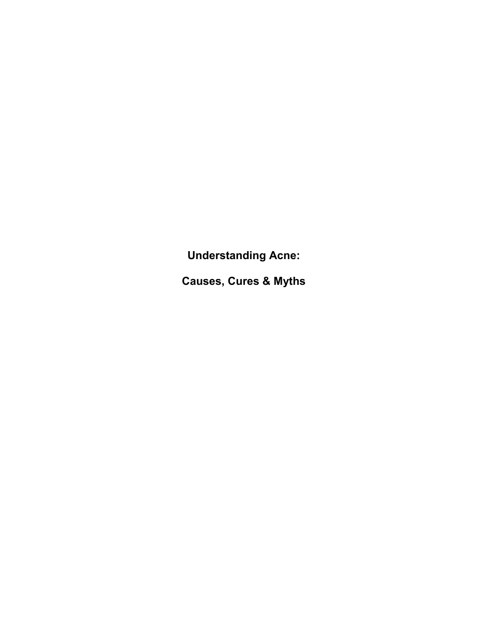**Understanding Acne:** 

**Causes, Cures & Myths**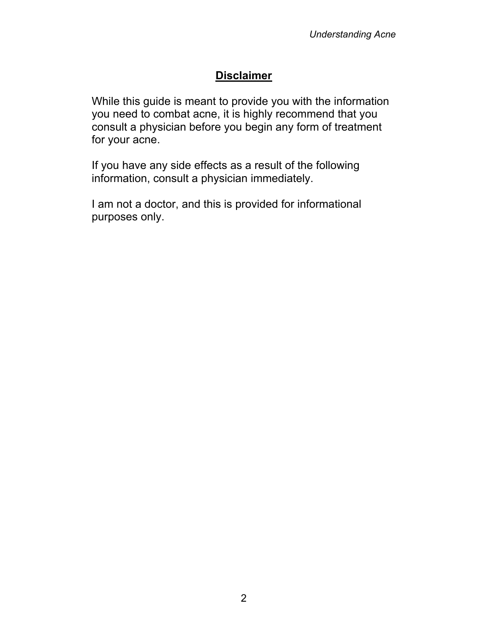# **Disclaimer**

While this guide is meant to provide you with the information you need to combat acne, it is highly recommend that you consult a physician before you begin any form of treatment for your acne.

If you have any side effects as a result of the following information, consult a physician immediately.

I am not a doctor, and this is provided for informational purposes only.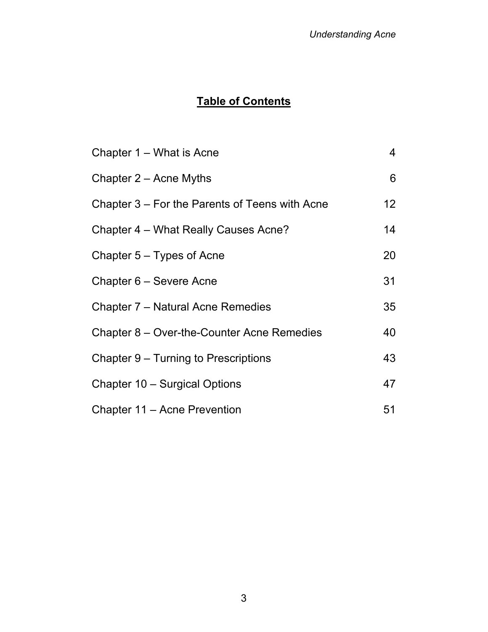# **Table of Contents**

| Chapter 1 – What is Acne                       | $\overline{4}$  |
|------------------------------------------------|-----------------|
| Chapter $2 -$ Acne Myths                       | 6               |
| Chapter 3 – For the Parents of Teens with Acne | 12 <sub>2</sub> |
| Chapter 4 – What Really Causes Acne?           | 14              |
| Chapter 5 – Types of Acne                      | 20              |
| Chapter 6 – Severe Acne                        | 31              |
| Chapter 7 – Natural Acne Remedies              | 35              |
| Chapter 8 – Over-the-Counter Acne Remedies     | 40              |
| Chapter 9 – Turning to Prescriptions           | 43              |
| Chapter 10 - Surgical Options                  | 47              |
| Chapter 11 – Acne Prevention                   | 51              |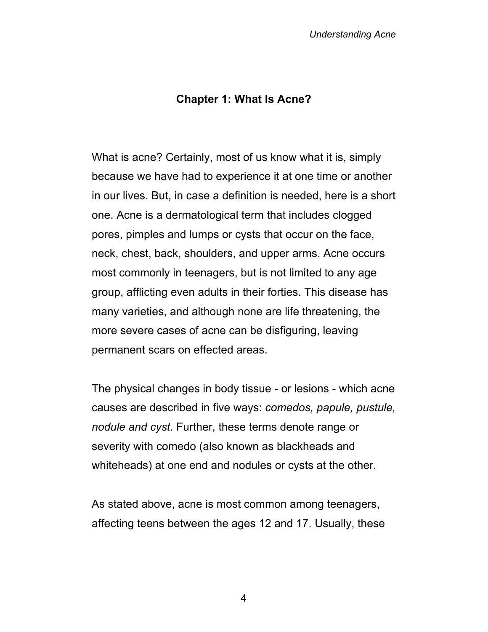#### **Chapter 1: What Is Acne?**

What is acne? Certainly, most of us know what it is, simply because we have had to experience it at one time or another in our lives. But, in case a definition is needed, here is a short one. Acne is a dermatological term that includes clogged pores, pimples and lumps or cysts that occur on the face, neck, chest, back, shoulders, and upper arms. Acne occurs most commonly in teenagers, but is not limited to any age group, afflicting even adults in their forties. This disease has many varieties, and although none are life threatening, the more severe cases of acne can be disfiguring, leaving permanent scars on effected areas.

The physical changes in body tissue - or lesions - which acne causes are described in five ways: *comedos, papule, pustule, nodule and cyst.* Further, these terms denote range or severity with comedo (also known as blackheads and whiteheads) at one end and nodules or cysts at the other.

As stated above, acne is most common among teenagers, affecting teens between the ages 12 and 17. Usually, these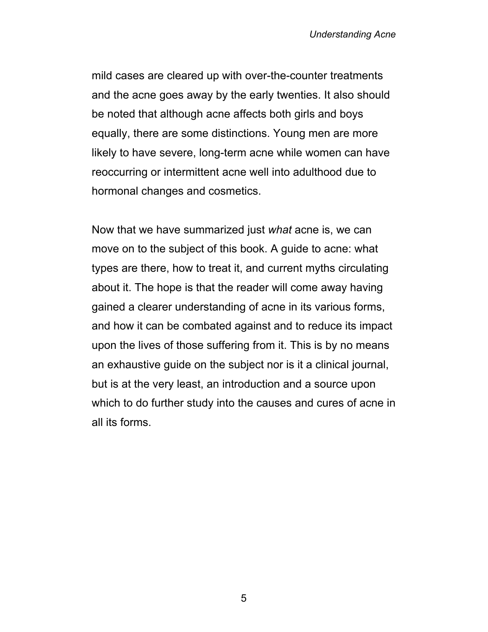mild cases are cleared up with over-the-counter treatments and the acne goes away by the early twenties. It also should be noted that although acne affects both girls and boys equally, there are some distinctions. Young men are more likely to have severe, long-term acne while women can have reoccurring or intermittent acne well into adulthood due to hormonal changes and cosmetics.

Now that we have summarized just *what* acne is, we can move on to the subject of this book. A guide to acne: what types are there, how to treat it, and current myths circulating about it. The hope is that the reader will come away having gained a clearer understanding of acne in its various forms, and how it can be combated against and to reduce its impact upon the lives of those suffering from it. This is by no means an exhaustive guide on the subject nor is it a clinical journal, but is at the very least, an introduction and a source upon which to do further study into the causes and cures of acne in all its forms.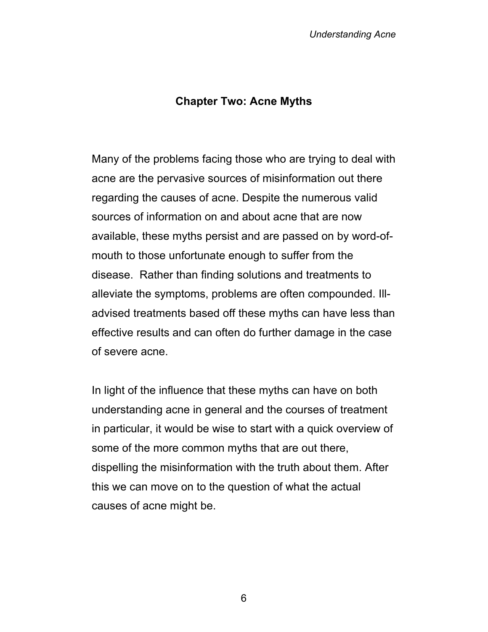#### **Chapter Two: Acne Myths**

Many of the problems facing those who are trying to deal with acne are the pervasive sources of misinformation out there regarding the causes of acne. Despite the numerous valid sources of information on and about acne that are now available, these myths persist and are passed on by word-ofmouth to those unfortunate enough to suffer from the disease. Rather than finding solutions and treatments to alleviate the symptoms, problems are often compounded. Illadvised treatments based off these myths can have less than effective results and can often do further damage in the case of severe acne.

In light of the influence that these myths can have on both understanding acne in general and the courses of treatment in particular, it would be wise to start with a quick overview of some of the more common myths that are out there, dispelling the misinformation with the truth about them. After this we can move on to the question of what the actual causes of acne might be.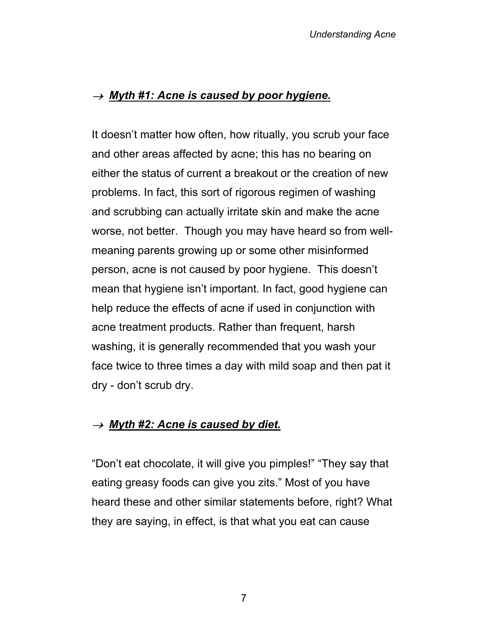### <sup>→</sup> *Myth #1: Acne is caused by poor hygiene.*

It doesn't matter how often, how ritually, you scrub your face and other areas affected by acne; this has no bearing on either the status of current a breakout or the creation of new problems. In fact, this sort of rigorous regimen of washing and scrubbing can actually irritate skin and make the acne worse, not better. Though you may have heard so from wellmeaning parents growing up or some other misinformed person, acne is not caused by poor hygiene. This doesn't mean that hygiene isn't important. In fact, good hygiene can help reduce the effects of acne if used in conjunction with acne treatment products. Rather than frequent, harsh washing, it is generally recommended that you wash your face twice to three times a day with mild soap and then pat it dry - don't scrub dry.

### <sup>→</sup> *Myth #2: Acne is caused by diet.*

"Don't eat chocolate, it will give you pimples!" "They say that eating greasy foods can give you zits." Most of you have heard these and other similar statements before, right? What they are saying, in effect, is that what you eat can cause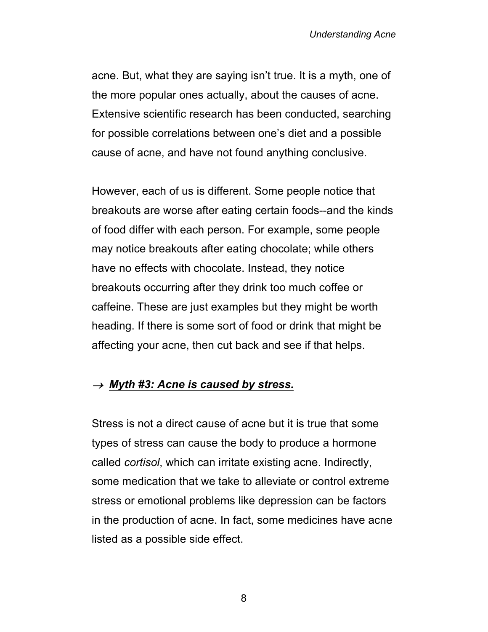acne. But, what they are saying isn't true. It is a myth, one of the more popular ones actually, about the causes of acne. Extensive scientific research has been conducted, searching for possible correlations between one's diet and a possible cause of acne, and have not found anything conclusive.

However, each of us is different. Some people notice that breakouts are worse after eating certain foods--and the kinds of food differ with each person. For example, some people may notice breakouts after eating chocolate; while others have no effects with chocolate. Instead, they notice breakouts occurring after they drink too much coffee or caffeine. These are just examples but they might be worth heading. If there is some sort of food or drink that might be affecting your acne, then cut back and see if that helps.

### <sup>→</sup> *Myth #3: Acne is caused by stress.*

Stress is not a direct cause of acne but it is true that some types of stress can cause the body to produce a hormone called *cortisol*, which can irritate existing acne. Indirectly, some medication that we take to alleviate or control extreme stress or emotional problems like depression can be factors in the production of acne. In fact, some medicines have acne listed as a possible side effect.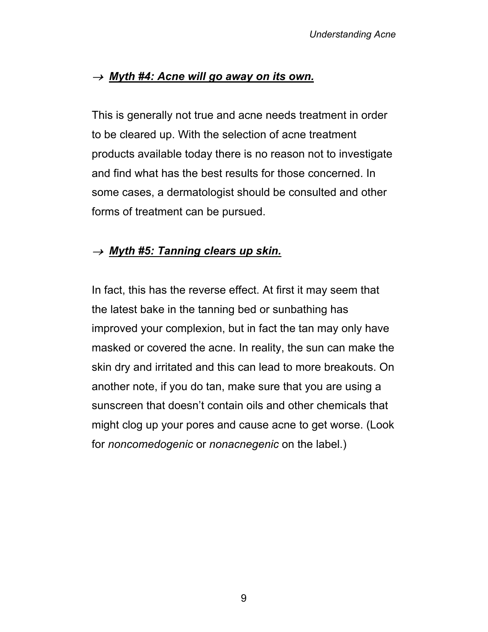### <sup>→</sup> *Myth #4: Acne will go away on its own.*

This is generally not true and acne needs treatment in order to be cleared up. With the selection of acne treatment products available today there is no reason not to investigate and find what has the best results for those concerned. In some cases, a dermatologist should be consulted and other forms of treatment can be pursued.

### <sup>→</sup> *Myth #5: Tanning clears up skin.*

In fact, this has the reverse effect. At first it may seem that the latest bake in the tanning bed or sunbathing has improved your complexion, but in fact the tan may only have masked or covered the acne. In reality, the sun can make the skin dry and irritated and this can lead to more breakouts. On another note, if you do tan, make sure that you are using a sunscreen that doesn't contain oils and other chemicals that might clog up your pores and cause acne to get worse. (Look for *noncomedogenic* or *nonacnegenic* on the label.)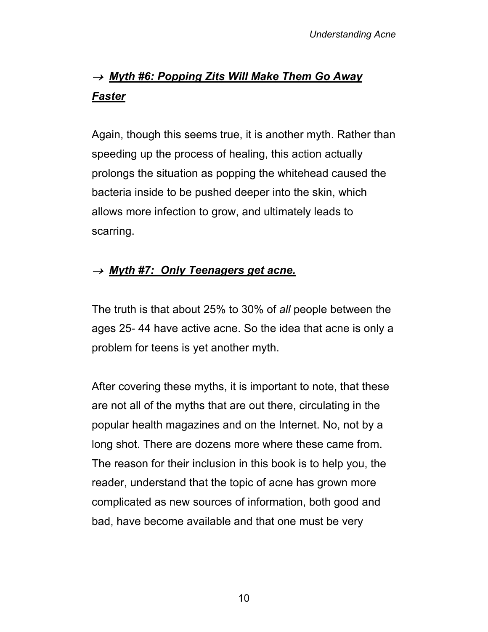# <sup>→</sup> *Myth #6: Popping Zits Will Make Them Go Away Faster*

Again, though this seems true, it is another myth. Rather than speeding up the process of healing, this action actually prolongs the situation as popping the whitehead caused the bacteria inside to be pushed deeper into the skin, which allows more infection to grow, and ultimately leads to scarring.

### <sup>→</sup> *Myth #7: Only Teenagers get acne.*

The truth is that about 25% to 30% of *all* people between the ages 25- 44 have active acne. So the idea that acne is only a problem for teens is yet another myth.

After covering these myths, it is important to note, that these are not all of the myths that are out there, circulating in the popular health magazines and on the Internet. No, not by a long shot. There are dozens more where these came from. The reason for their inclusion in this book is to help you, the reader, understand that the topic of acne has grown more complicated as new sources of information, both good and bad, have become available and that one must be very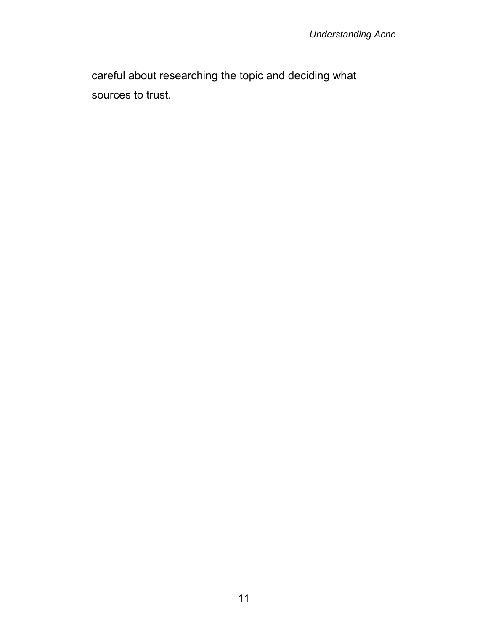careful about researching the topic and deciding what sources to trust.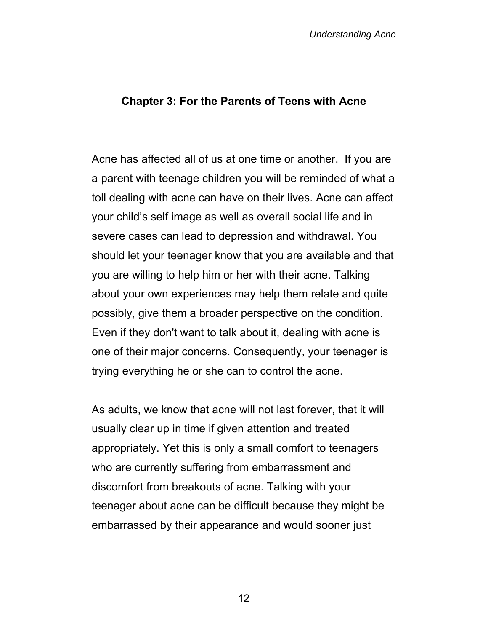#### **Chapter 3: For the Parents of Teens with Acne**

Acne has affected all of us at one time or another. If you are a parent with teenage children you will be reminded of what a toll dealing with acne can have on their lives. Acne can affect your child's self image as well as overall social life and in severe cases can lead to depression and withdrawal. You should let your teenager know that you are available and that you are willing to help him or her with their acne. Talking about your own experiences may help them relate and quite possibly, give them a broader perspective on the condition. Even if they don't want to talk about it, dealing with acne is one of their major concerns. Consequently, your teenager is trying everything he or she can to control the acne.

As adults, we know that acne will not last forever, that it will usually clear up in time if given attention and treated appropriately. Yet this is only a small comfort to teenagers who are currently suffering from embarrassment and discomfort from breakouts of acne. Talking with your teenager about acne can be difficult because they might be embarrassed by their appearance and would sooner just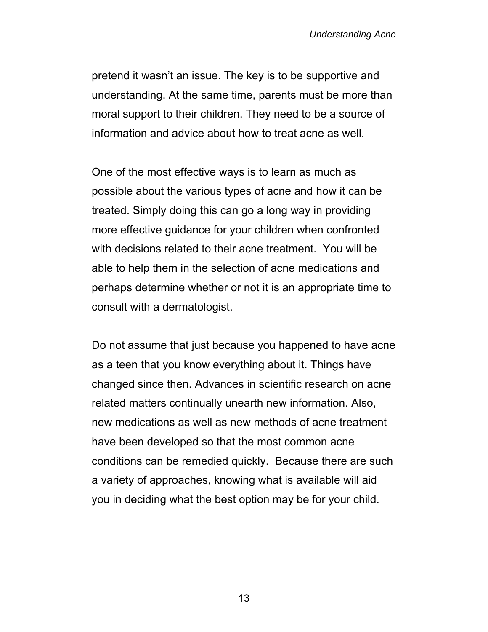pretend it wasn't an issue. The key is to be supportive and understanding. At the same time, parents must be more than moral support to their children. They need to be a source of information and advice about how to treat acne as well.

One of the most effective ways is to learn as much as possible about the various types of acne and how it can be treated. Simply doing this can go a long way in providing more effective guidance for your children when confronted with decisions related to their acne treatment. You will be able to help them in the selection of acne medications and perhaps determine whether or not it is an appropriate time to consult with a dermatologist.

Do not assume that just because you happened to have acne as a teen that you know everything about it. Things have changed since then. Advances in scientific research on acne related matters continually unearth new information. Also, new medications as well as new methods of acne treatment have been developed so that the most common acne conditions can be remedied quickly. Because there are such a variety of approaches, knowing what is available will aid you in deciding what the best option may be for your child.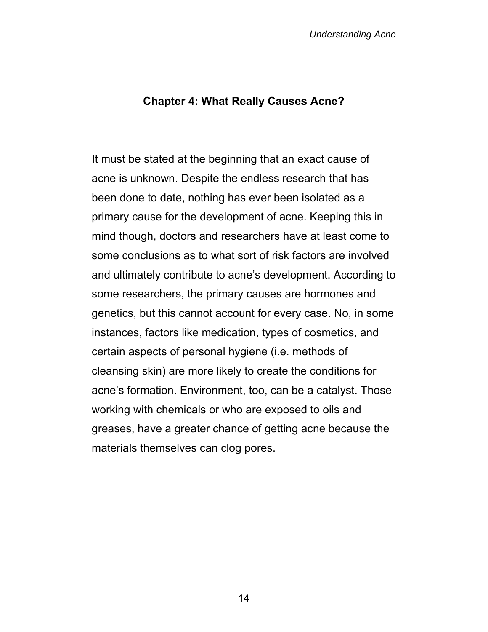#### **Chapter 4: What Really Causes Acne?**

It must be stated at the beginning that an exact cause of acne is unknown. Despite the endless research that has been done to date, nothing has ever been isolated as a primary cause for the development of acne. Keeping this in mind though, doctors and researchers have at least come to some conclusions as to what sort of risk factors are involved and ultimately contribute to acne's development. According to some researchers, the primary causes are hormones and genetics, but this cannot account for every case. No, in some instances, factors like medication, types of cosmetics, and certain aspects of personal hygiene (i.e. methods of cleansing skin) are more likely to create the conditions for acne's formation. Environment, too, can be a catalyst. Those working with chemicals or who are exposed to oils and greases, have a greater chance of getting acne because the materials themselves can clog pores.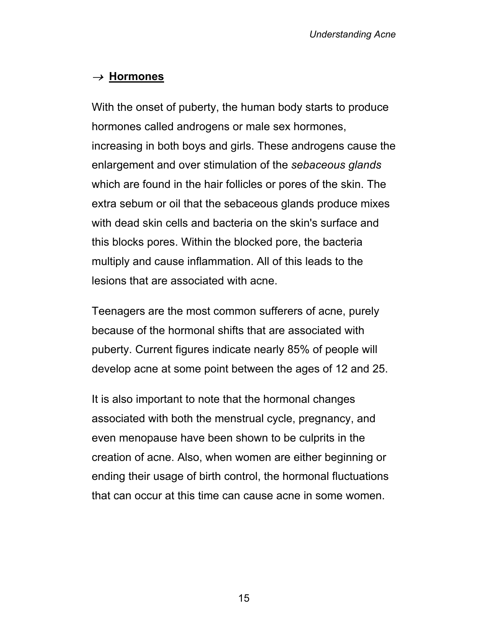# <sup>→</sup>**Hormones**

With the onset of puberty, the human body starts to produce hormones called androgens or male sex hormones, increasing in both boys and girls. These androgens cause the enlargement and over stimulation of the *sebaceous glands* which are found in the hair follicles or pores of the skin. The extra sebum or oil that the sebaceous glands produce mixes with dead skin cells and bacteria on the skin's surface and this blocks pores. Within the blocked pore, the bacteria multiply and cause inflammation. All of this leads to the lesions that are associated with acne.

Teenagers are the most common sufferers of acne, purely because of the hormonal shifts that are associated with puberty. Current figures indicate nearly 85% of people will develop acne at some point between the ages of 12 and 25.

It is also important to note that the hormonal changes associated with both the menstrual cycle, pregnancy, and even menopause have been shown to be culprits in the creation of acne. Also, when women are either beginning or ending their usage of birth control, the hormonal fluctuations that can occur at this time can cause acne in some women.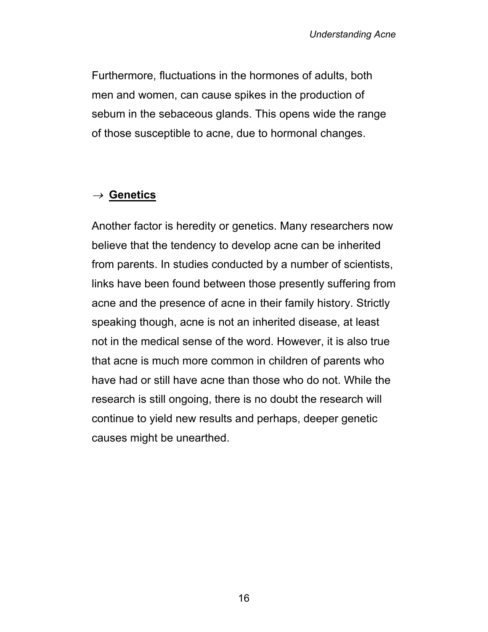Furthermore, fluctuations in the hormones of adults, both men and women, can cause spikes in the production of sebum in the sebaceous glands. This opens wide the range of those susceptible to acne, due to hormonal changes.

### <sup>→</sup>**Genetics**

Another factor is heredity or genetics. Many researchers now believe that the tendency to develop acne can be inherited from parents. In studies conducted by a number of scientists, links have been found between those presently suffering from acne and the presence of acne in their family history. Strictly speaking though, acne is not an inherited disease, at least not in the medical sense of the word. However, it is also true that acne is much more common in children of parents who have had or still have acne than those who do not. While the research is still ongoing, there is no doubt the research will continue to yield new results and perhaps, deeper genetic causes might be unearthed.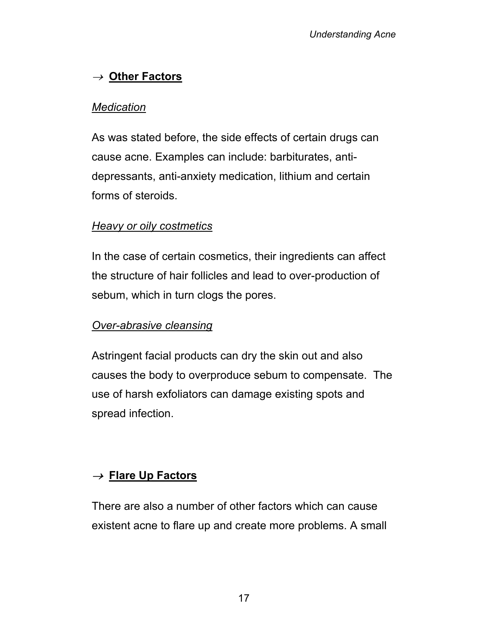# <sup>→</sup>**Other Factors**

### *Medication*

As was stated before, the side effects of certain drugs can cause acne. Examples can include: barbiturates, antidepressants, anti-anxiety medication, lithium and certain forms of steroids.

### *Heavy or oily costmetics*

In the case of certain cosmetics, their ingredients can affect the structure of hair follicles and lead to over-production of sebum, which in turn clogs the pores.

### *Over-abrasive cleansing*

Astringent facial products can dry the skin out and also causes the body to overproduce sebum to compensate. The use of harsh exfoliators can damage existing spots and spread infection.

### <sup>→</sup>**Flare Up Factors**

There are also a number of other factors which can cause existent acne to flare up and create more problems. A small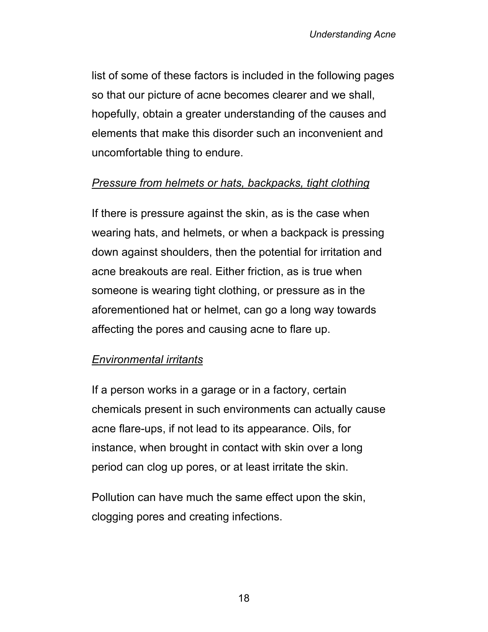list of some of these factors is included in the following pages so that our picture of acne becomes clearer and we shall, hopefully, obtain a greater understanding of the causes and elements that make this disorder such an inconvenient and uncomfortable thing to endure.

### *Pressure from helmets or hats, backpacks, tight clothing*

If there is pressure against the skin, as is the case when wearing hats, and helmets, or when a backpack is pressing down against shoulders, then the potential for irritation and acne breakouts are real. Either friction, as is true when someone is wearing tight clothing, or pressure as in the aforementioned hat or helmet, can go a long way towards affecting the pores and causing acne to flare up.

### *Environmental irritants*

If a person works in a garage or in a factory, certain chemicals present in such environments can actually cause acne flare-ups, if not lead to its appearance. Oils, for instance, when brought in contact with skin over a long period can clog up pores, or at least irritate the skin.

Pollution can have much the same effect upon the skin, clogging pores and creating infections.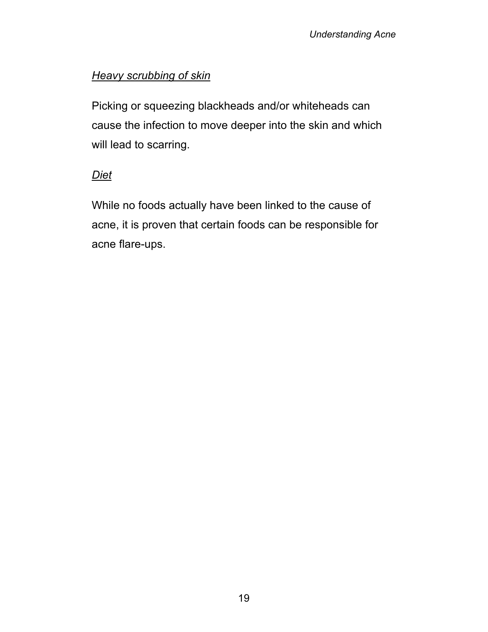### *Heavy scrubbing of skin*

Picking or squeezing blackheads and/or whiteheads can cause the infection to move deeper into the skin and which will lead to scarring.

### *Diet*

While no foods actually have been linked to the cause of acne, it is proven that certain foods can be responsible for acne flare-ups.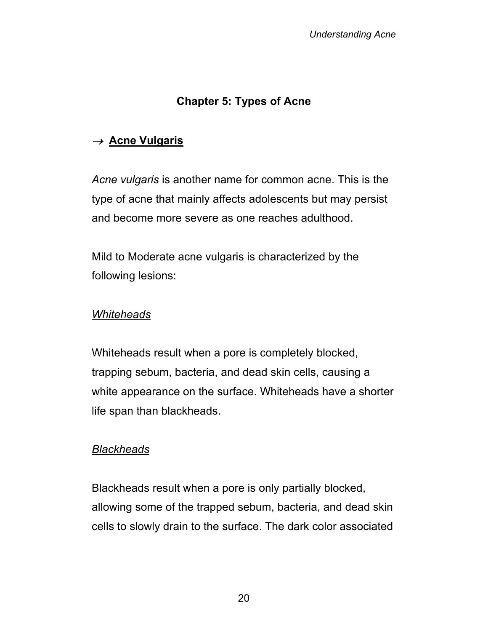# **Chapter 5: Types of Acne**

### <sup>→</sup>**Acne Vulgaris**

*Acne vulgaris* is another name for common acne. This is the type of acne that mainly affects adolescents but may persist and become more severe as one reaches adulthood.

Mild to Moderate acne vulgaris is characterized by the following lesions:

#### *Whiteheads*

Whiteheads result when a pore is completely blocked, trapping sebum, bacteria, and dead skin cells, causing a white appearance on the surface. Whiteheads have a shorter life span than blackheads.

### *Blackheads*

Blackheads result when a pore is only partially blocked, allowing some of the trapped sebum, bacteria, and dead skin cells to slowly drain to the surface. The dark color associated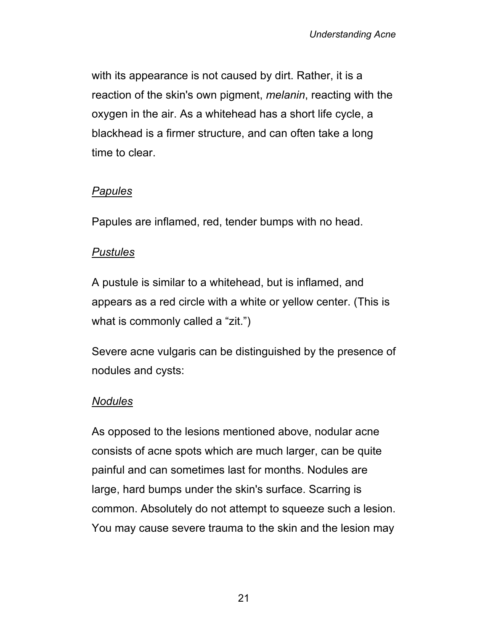with its appearance is not caused by dirt. Rather, it is a reaction of the skin's own pigment, *melanin*, reacting with the oxygen in the air. As a whitehead has a short life cycle, a blackhead is a firmer structure, and can often take a long time to clear.

### *Papules*

Papules are inflamed, red, tender bumps with no head.

#### *Pustules*

A pustule is similar to a whitehead, but is inflamed, and appears as a red circle with a white or yellow center. (This is what is commonly called a "zit.")

Severe acne vulgaris can be distinguished by the presence of nodules and cysts:

### *Nodules*

As opposed to the lesions mentioned above, nodular acne consists of acne spots which are much larger, can be quite painful and can sometimes last for months. Nodules are large, hard bumps under the skin's surface. Scarring is common. Absolutely do not attempt to squeeze such a lesion. You may cause severe trauma to the skin and the lesion may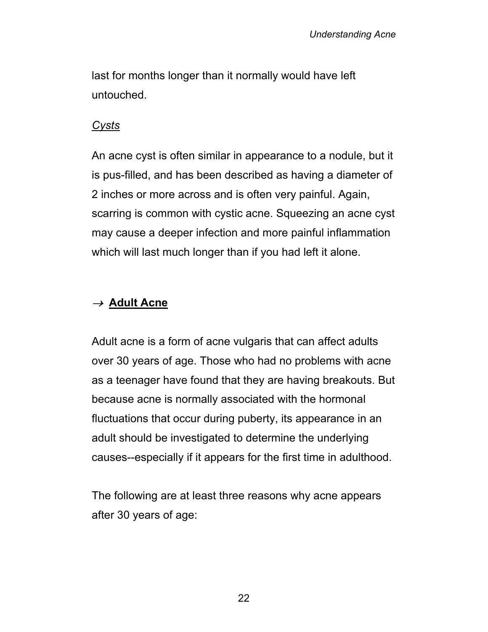last for months longer than it normally would have left untouched.

#### *Cysts*

An acne cyst is often similar in appearance to a nodule, but it is pus-filled, and has been described as having a diameter of 2 inches or more across and is often very painful. Again, scarring is common with cystic acne. Squeezing an acne cyst may cause a deeper infection and more painful inflammation which will last much longer than if you had left it alone.

### <sup>→</sup>**Adult Acne**

Adult acne is a form of acne vulgaris that can affect adults over 30 years of age. Those who had no problems with acne as a teenager have found that they are having breakouts. But because acne is normally associated with the hormonal fluctuations that occur during puberty, its appearance in an adult should be investigated to determine the underlying causes--especially if it appears for the first time in adulthood.

The following are at least three reasons why acne appears after 30 years of age: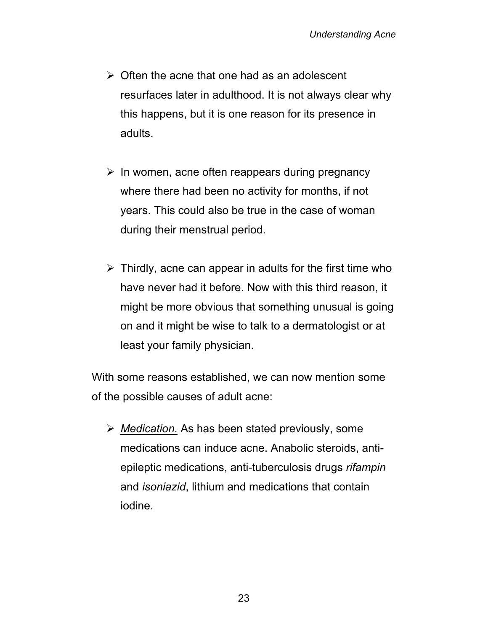- $\triangleright$  Often the acne that one had as an adolescent resurfaces later in adulthood. It is not always clear why this happens, but it is one reason for its presence in adults.
- $\triangleright$  In women, acne often reappears during pregnancy where there had been no activity for months, if not years. This could also be true in the case of woman during their menstrual period.
- $\triangleright$  Thirdly, acne can appear in adults for the first time who have never had it before. Now with this third reason, it might be more obvious that something unusual is going on and it might be wise to talk to a dermatologist or at least your family physician.

With some reasons established, we can now mention some of the possible causes of adult acne:

¾ *Medication.* As has been stated previously, some medications can induce acne. Anabolic steroids, antiepileptic medications, anti-tuberculosis drugs *rifampin* and *isoniazid*, lithium and medications that contain iodine.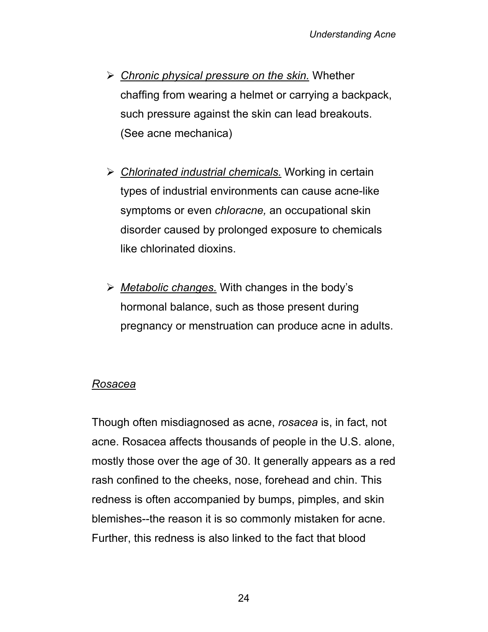- ¾ *Chronic physical pressure on the skin.* Whether chaffing from wearing a helmet or carrying a backpack, such pressure against the skin can lead breakouts. (See acne mechanica)
- ¾ *Chlorinated industrial chemicals.* Working in certain types of industrial environments can cause acne-like symptoms or even *chloracne,* an occupational skin disorder caused by prolonged exposure to chemicals like chlorinated dioxins.
- ¾ *Metabolic changes.* With changes in the body's hormonal balance, such as those present during pregnancy or menstruation can produce acne in adults.

### *Rosacea*

Though often misdiagnosed as acne, *rosacea* is, in fact, not acne. Rosacea affects thousands of people in the U.S. alone, mostly those over the age of 30. It generally appears as a red rash confined to the cheeks, nose, forehead and chin. This redness is often accompanied by bumps, pimples, and skin blemishes--the reason it is so commonly mistaken for acne. Further, this redness is also linked to the fact that blood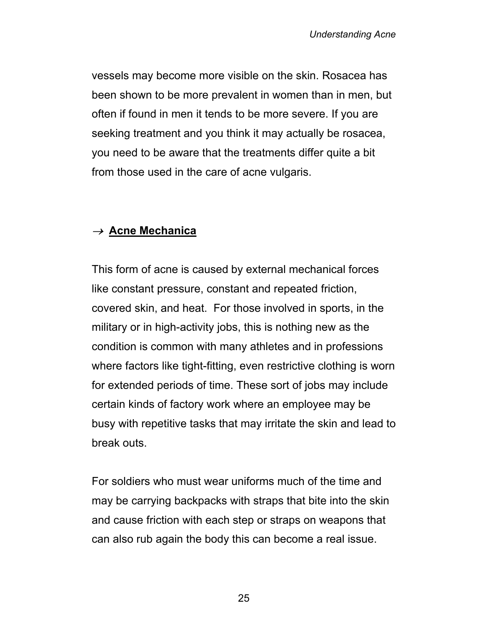vessels may become more visible on the skin. Rosacea has been shown to be more prevalent in women than in men, but often if found in men it tends to be more severe. If you are seeking treatment and you think it may actually be rosacea, you need to be aware that the treatments differ quite a bit from those used in the care of acne vulgaris.

### <sup>→</sup>**Acne Mechanica**

This form of acne is caused by external mechanical forces like constant pressure, constant and repeated friction, covered skin, and heat. For those involved in sports, in the military or in high-activity jobs, this is nothing new as the condition is common with many athletes and in professions where factors like tight-fitting, even restrictive clothing is worn for extended periods of time. These sort of jobs may include certain kinds of factory work where an employee may be busy with repetitive tasks that may irritate the skin and lead to break outs.

For soldiers who must wear uniforms much of the time and may be carrying backpacks with straps that bite into the skin and cause friction with each step or straps on weapons that can also rub again the body this can become a real issue.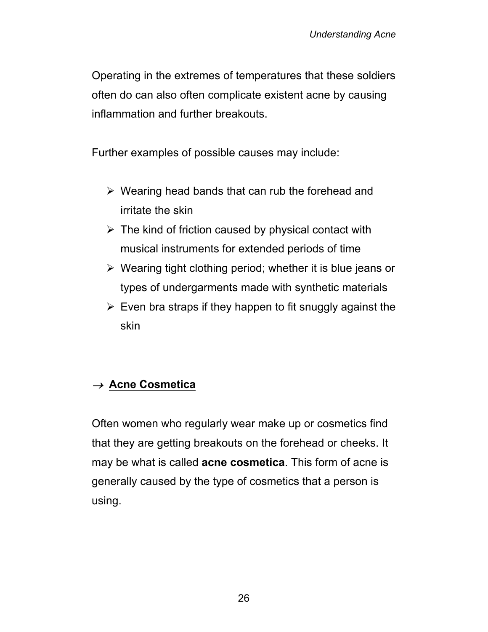Operating in the extremes of temperatures that these soldiers often do can also often complicate existent acne by causing inflammation and further breakouts.

Further examples of possible causes may include:

- $\triangleright$  Wearing head bands that can rub the forehead and irritate the skin
- $\triangleright$  The kind of friction caused by physical contact with musical instruments for extended periods of time
- $\triangleright$  Wearing tight clothing period; whether it is blue jeans or types of undergarments made with synthetic materials
- $\triangleright$  Even bra straps if they happen to fit snuggly against the skin

# <sup>→</sup>**Acne Cosmetica**

Often women who regularly wear make up or cosmetics find that they are getting breakouts on the forehead or cheeks. It may be what is called **acne cosmetica**. This form of acne is generally caused by the type of cosmetics that a person is using.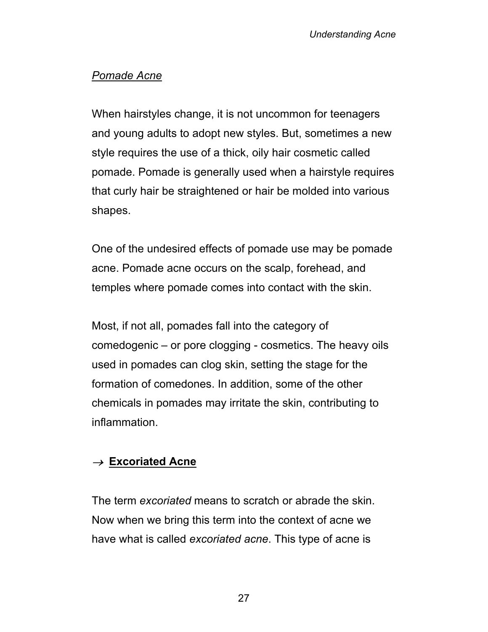### *Pomade Acne*

When hairstyles change, it is not uncommon for teenagers and young adults to adopt new styles. But, sometimes a new style requires the use of a thick, oily hair cosmetic called pomade. Pomade is generally used when a hairstyle requires that curly hair be straightened or hair be molded into various shapes.

One of the undesired effects of pomade use may be pomade acne. Pomade acne occurs on the scalp, forehead, and temples where pomade comes into contact with the skin.

Most, if not all, pomades fall into the category of comedogenic – or pore clogging - cosmetics. The heavy oils used in pomades can clog skin, setting the stage for the formation of comedones. In addition, some of the other chemicals in pomades may irritate the skin, contributing to inflammation.

### <sup>→</sup>**Excoriated Acne**

The term *excoriated* means to scratch or abrade the skin. Now when we bring this term into the context of acne we have what is called *excoriated acne*. This type of acne is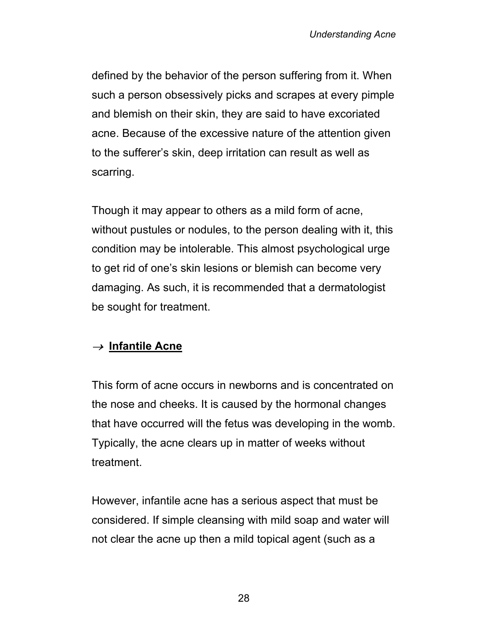defined by the behavior of the person suffering from it. When such a person obsessively picks and scrapes at every pimple and blemish on their skin, they are said to have excoriated acne. Because of the excessive nature of the attention given to the sufferer's skin, deep irritation can result as well as scarring.

Though it may appear to others as a mild form of acne, without pustules or nodules, to the person dealing with it, this condition may be intolerable. This almost psychological urge to get rid of one's skin lesions or blemish can become very damaging. As such, it is recommended that a dermatologist be sought for treatment.

### <sup>→</sup>**Infantile Acne**

This form of acne occurs in newborns and is concentrated on the nose and cheeks. It is caused by the hormonal changes that have occurred will the fetus was developing in the womb. Typically, the acne clears up in matter of weeks without treatment.

However, infantile acne has a serious aspect that must be considered. If simple cleansing with mild soap and water will not clear the acne up then a mild topical agent (such as a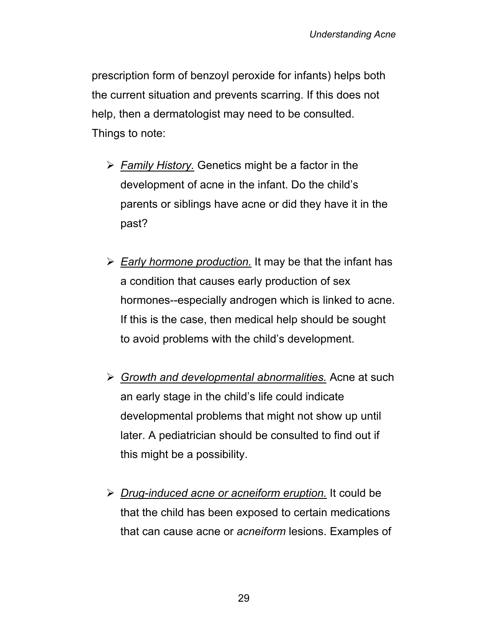prescription form of benzoyl peroxide for infants) helps both the current situation and prevents scarring. If this does not help, then a dermatologist may need to be consulted. Things to note:

- ¾ *Family History.* Genetics might be a factor in the development of acne in the infant. Do the child's parents or siblings have acne or did they have it in the past?
- ¾ *Early hormone production.* It may be that the infant has a condition that causes early production of sex hormones--especially androgen which is linked to acne. If this is the case, then medical help should be sought to avoid problems with the child's development.
- ¾ *Growth and developmental abnormalities.* Acne at such an early stage in the child's life could indicate developmental problems that might not show up until later. A pediatrician should be consulted to find out if this might be a possibility.
- ¾ *Drug-induced acne or acneiform eruption.* It could be that the child has been exposed to certain medications that can cause acne or *acneiform* lesions. Examples of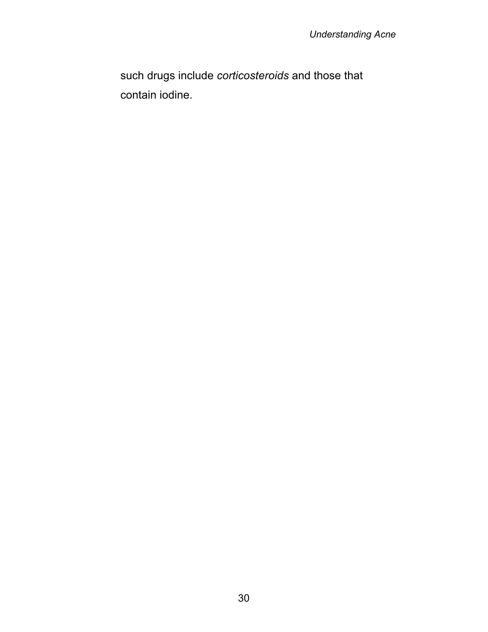such drugs include *corticosteroids* and those that contain iodine.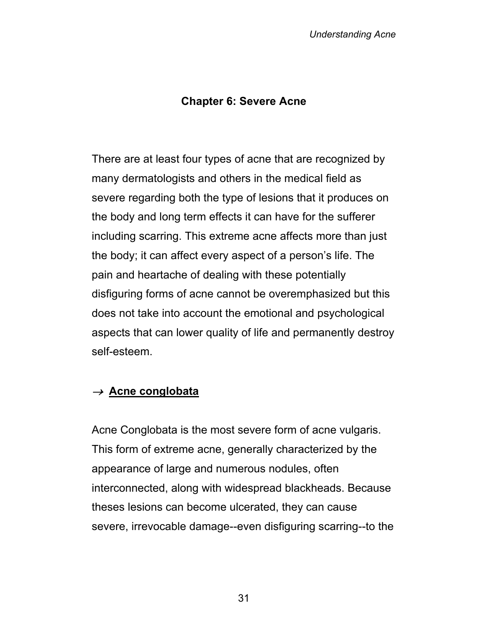### **Chapter 6: Severe Acne**

There are at least four types of acne that are recognized by many dermatologists and others in the medical field as severe regarding both the type of lesions that it produces on the body and long term effects it can have for the sufferer including scarring. This extreme acne affects more than just the body; it can affect every aspect of a person's life. The pain and heartache of dealing with these potentially disfiguring forms of acne cannot be overemphasized but this does not take into account the emotional and psychological aspects that can lower quality of life and permanently destroy self-esteem.

#### <sup>→</sup>**Acne conglobata**

Acne Conglobata is the most severe form of acne vulgaris. This form of extreme acne, generally characterized by the appearance of large and numerous nodules, often interconnected, along with widespread blackheads. Because theses lesions can become ulcerated, they can cause severe, irrevocable damage--even disfiguring scarring--to the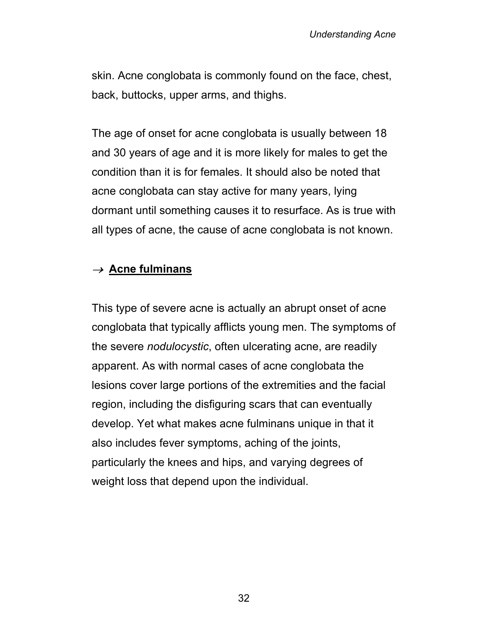skin. Acne conglobata is commonly found on the face, chest, back, buttocks, upper arms, and thighs.

The age of onset for acne conglobata is usually between 18 and 30 years of age and it is more likely for males to get the condition than it is for females. It should also be noted that acne conglobata can stay active for many years, lying dormant until something causes it to resurface. As is true with all types of acne, the cause of acne conglobata is not known.

### <sup>→</sup>**Acne fulminans**

This type of severe acne is actually an abrupt onset of acne conglobata that typically afflicts young men. The symptoms of the severe *nodulocystic*, often ulcerating acne, are readily apparent. As with normal cases of acne conglobata the lesions cover large portions of the extremities and the facial region, including the disfiguring scars that can eventually develop. Yet what makes acne fulminans unique in that it also includes fever symptoms, aching of the joints, particularly the knees and hips, and varying degrees of weight loss that depend upon the individual.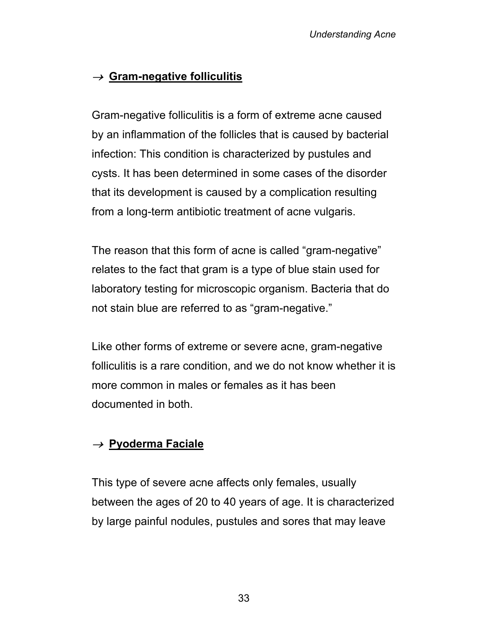# <sup>→</sup>**Gram-negative folliculitis**

Gram-negative folliculitis is a form of extreme acne caused by an inflammation of the follicles that is caused by bacterial infection: This condition is characterized by pustules and cysts. It has been determined in some cases of the disorder that its development is caused by a complication resulting from a long-term antibiotic treatment of acne vulgaris.

The reason that this form of acne is called "gram-negative" relates to the fact that gram is a type of blue stain used for laboratory testing for microscopic organism. Bacteria that do not stain blue are referred to as "gram-negative."

Like other forms of extreme or severe acne, gram-negative folliculitis is a rare condition, and we do not know whether it is more common in males or females as it has been documented in both.

### <sup>→</sup>**Pyoderma Faciale**

This type of severe acne affects only females, usually between the ages of 20 to 40 years of age. It is characterized by large painful nodules, pustules and sores that may leave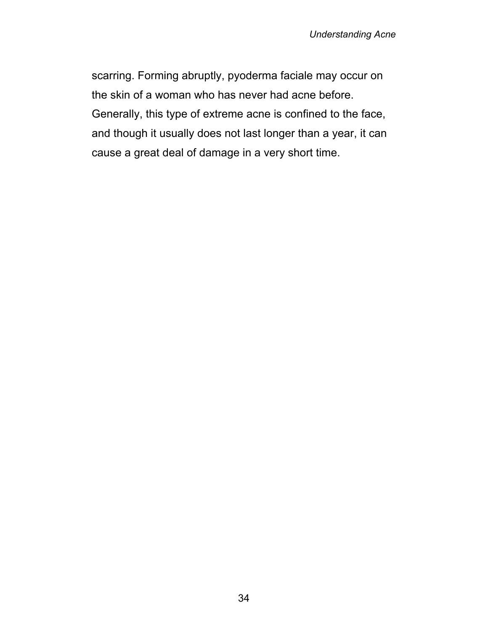scarring. Forming abruptly, pyoderma faciale may occur on the skin of a woman who has never had acne before. Generally, this type of extreme acne is confined to the face, and though it usually does not last longer than a year, it can cause a great deal of damage in a very short time.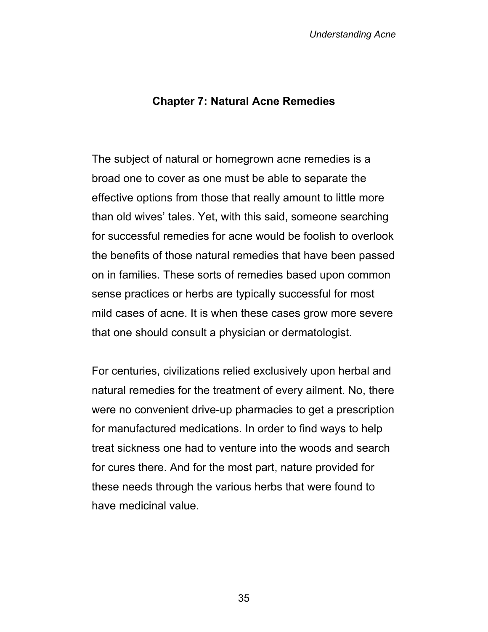#### **Chapter 7: Natural Acne Remedies**

The subject of natural or homegrown acne remedies is a broad one to cover as one must be able to separate the effective options from those that really amount to little more than old wives' tales. Yet, with this said, someone searching for successful remedies for acne would be foolish to overlook the benefits of those natural remedies that have been passed on in families. These sorts of remedies based upon common sense practices or herbs are typically successful for most mild cases of acne. It is when these cases grow more severe that one should consult a physician or dermatologist.

For centuries, civilizations relied exclusively upon herbal and natural remedies for the treatment of every ailment. No, there were no convenient drive-up pharmacies to get a prescription for manufactured medications. In order to find ways to help treat sickness one had to venture into the woods and search for cures there. And for the most part, nature provided for these needs through the various herbs that were found to have medicinal value.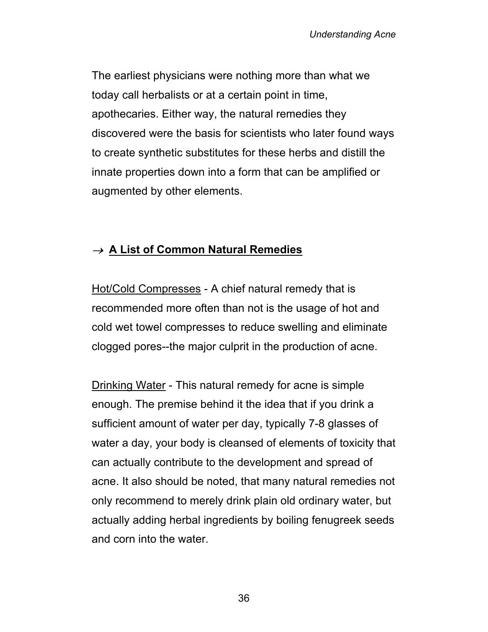The earliest physicians were nothing more than what we today call herbalists or at a certain point in time, apothecaries. Either way, the natural remedies they discovered were the basis for scientists who later found ways to create synthetic substitutes for these herbs and distill the innate properties down into a form that can be amplified or augmented by other elements.

### <sup>→</sup>**A List of Common Natural Remedies**

Hot/Cold Compresses - A chief natural remedy that is recommended more often than not is the usage of hot and cold wet towel compresses to reduce swelling and eliminate clogged pores--the major culprit in the production of acne.

Drinking Water - This natural remedy for acne is simple enough. The premise behind it the idea that if you drink a sufficient amount of water per day, typically 7-8 glasses of water a day, your body is cleansed of elements of toxicity that can actually contribute to the development and spread of acne. It also should be noted, that many natural remedies not only recommend to merely drink plain old ordinary water, but actually adding herbal ingredients by boiling fenugreek seeds and corn into the water.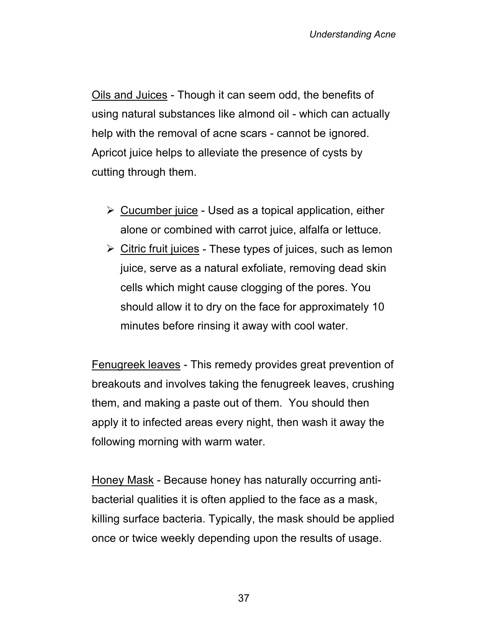Oils and Juices - Though it can seem odd, the benefits of using natural substances like almond oil - which can actually help with the removal of acne scars - cannot be ignored. Apricot juice helps to alleviate the presence of cysts by cutting through them.

- $\triangleright$  Cucumber juice Used as a topical application, either alone or combined with carrot juice, alfalfa or lettuce.
- $\triangleright$  Citric fruit juices These types of juices, such as lemon juice, serve as a natural exfoliate, removing dead skin cells which might cause clogging of the pores. You should allow it to dry on the face for approximately 10 minutes before rinsing it away with cool water.

Fenugreek leaves - This remedy provides great prevention of breakouts and involves taking the fenugreek leaves, crushing them, and making a paste out of them. You should then apply it to infected areas every night, then wash it away the following morning with warm water.

Honey Mask - Because honey has naturally occurring antibacterial qualities it is often applied to the face as a mask, killing surface bacteria. Typically, the mask should be applied once or twice weekly depending upon the results of usage.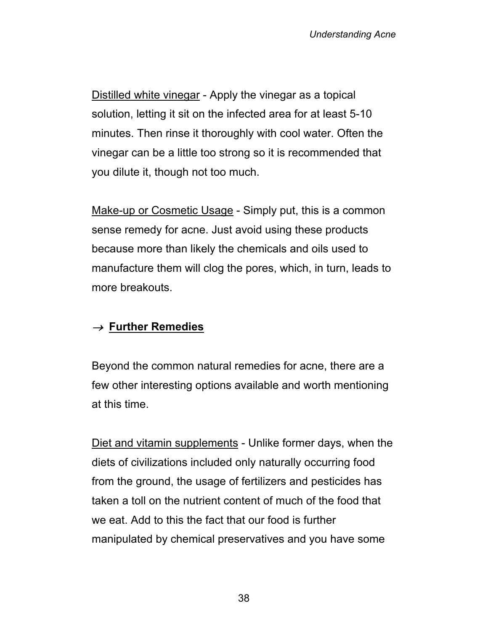Distilled white vinegar - Apply the vinegar as a topical solution, letting it sit on the infected area for at least 5-10 minutes. Then rinse it thoroughly with cool water. Often the vinegar can be a little too strong so it is recommended that you dilute it, though not too much.

Make-up or Cosmetic Usage - Simply put, this is a common sense remedy for acne. Just avoid using these products because more than likely the chemicals and oils used to manufacture them will clog the pores, which, in turn, leads to more breakouts.

### <sup>→</sup>**Further Remedies**

Beyond the common natural remedies for acne, there are a few other interesting options available and worth mentioning at this time.

Diet and vitamin supplements - Unlike former days, when the diets of civilizations included only naturally occurring food from the ground, the usage of fertilizers and pesticides has taken a toll on the nutrient content of much of the food that we eat. Add to this the fact that our food is further manipulated by chemical preservatives and you have some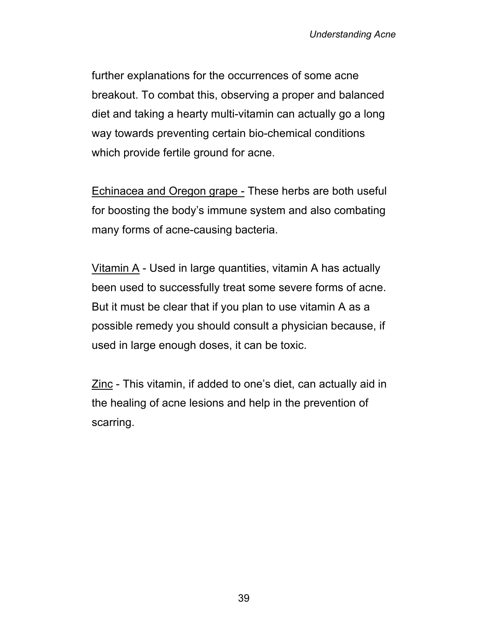further explanations for the occurrences of some acne breakout. To combat this, observing a proper and balanced diet and taking a hearty multi-vitamin can actually go a long way towards preventing certain bio-chemical conditions which provide fertile ground for acne.

Echinacea and Oregon grape - These herbs are both useful for boosting the body's immune system and also combating many forms of acne-causing bacteria.

Vitamin A - Used in large quantities, vitamin A has actually been used to successfully treat some severe forms of acne. But it must be clear that if you plan to use vitamin A as a possible remedy you should consult a physician because, if used in large enough doses, it can be toxic.

Zinc - This vitamin, if added to one's diet, can actually aid in the healing of acne lesions and help in the prevention of scarring.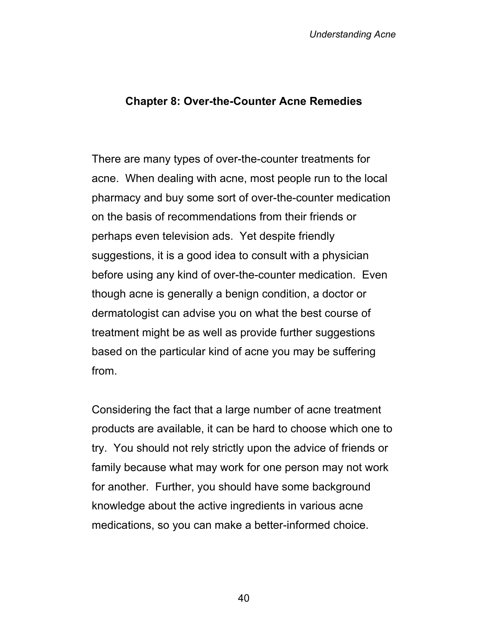#### **Chapter 8: Over-the-Counter Acne Remedies**

There are many types of over-the-counter treatments for acne. When dealing with acne, most people run to the local pharmacy and buy some sort of over-the-counter medication on the basis of recommendations from their friends or perhaps even television ads. Yet despite friendly suggestions, it is a good idea to consult with a physician before using any kind of over-the-counter medication. Even though acne is generally a benign condition, a doctor or dermatologist can advise you on what the best course of treatment might be as well as provide further suggestions based on the particular kind of acne you may be suffering from.

Considering the fact that a large number of acne treatment products are available, it can be hard to choose which one to try. You should not rely strictly upon the advice of friends or family because what may work for one person may not work for another. Further, you should have some background knowledge about the active ingredients in various acne medications, so you can make a better-informed choice.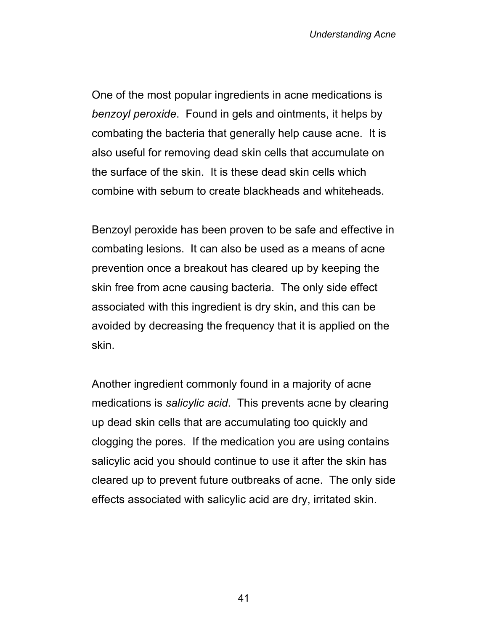One of the most popular ingredients in acne medications is *benzoyl peroxide*. Found in gels and ointments, it helps by combating the bacteria that generally help cause acne. It is also useful for removing dead skin cells that accumulate on the surface of the skin. It is these dead skin cells which combine with sebum to create blackheads and whiteheads.

Benzoyl peroxide has been proven to be safe and effective in combating lesions. It can also be used as a means of acne prevention once a breakout has cleared up by keeping the skin free from acne causing bacteria. The only side effect associated with this ingredient is dry skin, and this can be avoided by decreasing the frequency that it is applied on the skin.

Another ingredient commonly found in a majority of acne medications is *salicylic acid*. This prevents acne by clearing up dead skin cells that are accumulating too quickly and clogging the pores. If the medication you are using contains salicylic acid you should continue to use it after the skin has cleared up to prevent future outbreaks of acne. The only side effects associated with salicylic acid are dry, irritated skin.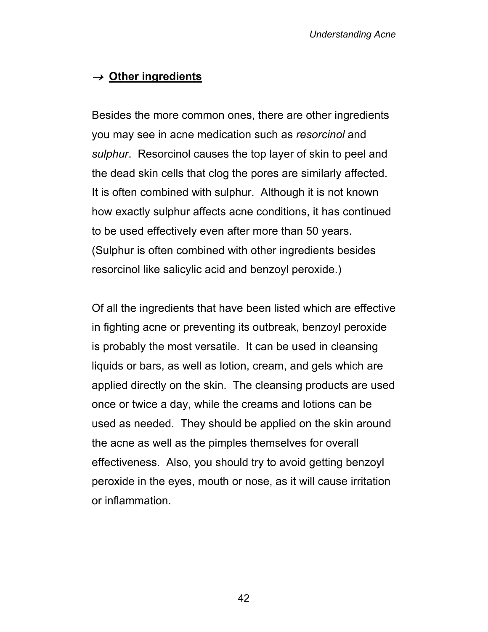# <sup>→</sup>**Other ingredients**

Besides the more common ones, there are other ingredients you may see in acne medication such as *resorcinol* and *sulphur*. Resorcinol causes the top layer of skin to peel and the dead skin cells that clog the pores are similarly affected. It is often combined with sulphur. Although it is not known how exactly sulphur affects acne conditions, it has continued to be used effectively even after more than 50 years. (Sulphur is often combined with other ingredients besides resorcinol like salicylic acid and benzoyl peroxide.)

Of all the ingredients that have been listed which are effective in fighting acne or preventing its outbreak, benzoyl peroxide is probably the most versatile. It can be used in cleansing liquids or bars, as well as lotion, cream, and gels which are applied directly on the skin. The cleansing products are used once or twice a day, while the creams and lotions can be used as needed. They should be applied on the skin around the acne as well as the pimples themselves for overall effectiveness. Also, you should try to avoid getting benzoyl peroxide in the eyes, mouth or nose, as it will cause irritation or inflammation.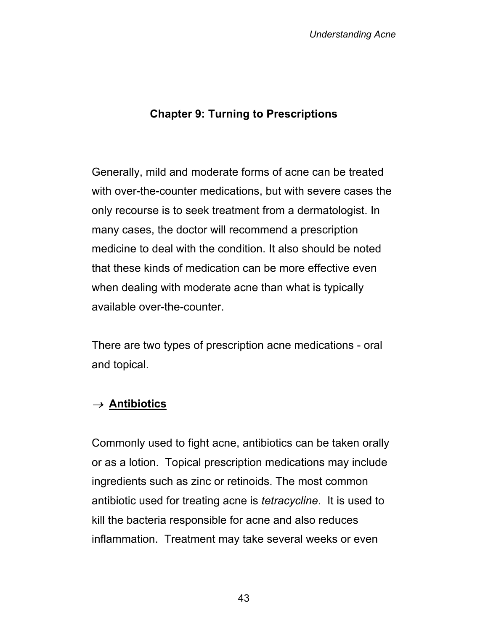#### **Chapter 9: Turning to Prescriptions**

Generally, mild and moderate forms of acne can be treated with over-the-counter medications, but with severe cases the only recourse is to seek treatment from a dermatologist. In many cases, the doctor will recommend a prescription medicine to deal with the condition. It also should be noted that these kinds of medication can be more effective even when dealing with moderate acne than what is typically available over-the-counter.

There are two types of prescription acne medications - oral and topical.

#### <sup>→</sup>**Antibiotics**

Commonly used to fight acne, antibiotics can be taken orally or as a lotion. Topical prescription medications may include ingredients such as zinc or retinoids. The most common antibiotic used for treating acne is *tetracycline*. It is used to kill the bacteria responsible for acne and also reduces inflammation. Treatment may take several weeks or even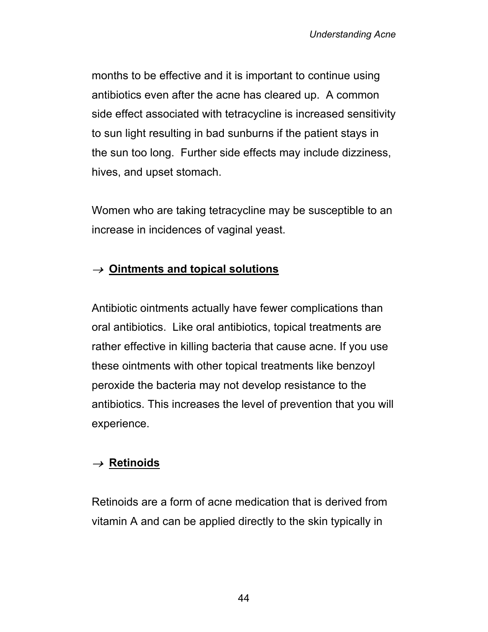months to be effective and it is important to continue using antibiotics even after the acne has cleared up. A common side effect associated with tetracycline is increased sensitivity to sun light resulting in bad sunburns if the patient stays in the sun too long. Further side effects may include dizziness, hives, and upset stomach.

Women who are taking tetracycline may be susceptible to an increase in incidences of vaginal yeast.

### <sup>→</sup>**Ointments and topical solutions**

Antibiotic ointments actually have fewer complications than oral antibiotics. Like oral antibiotics, topical treatments are rather effective in killing bacteria that cause acne. If you use these ointments with other topical treatments like benzoyl peroxide the bacteria may not develop resistance to the antibiotics. This increases the level of prevention that you will experience.

### <sup>→</sup>**Retinoids**

Retinoids are a form of acne medication that is derived from vitamin A and can be applied directly to the skin typically in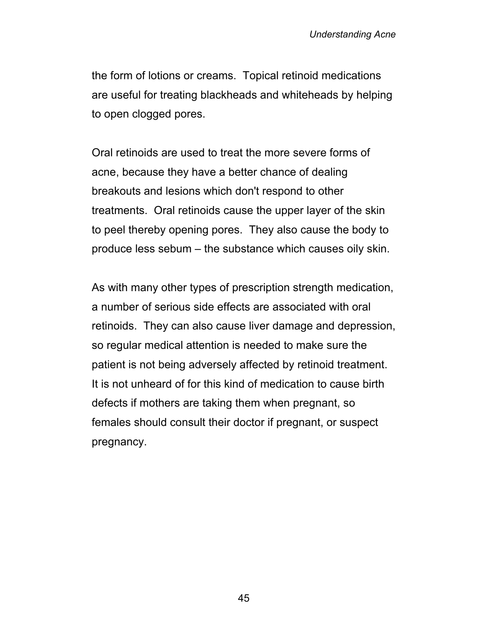the form of lotions or creams. Topical retinoid medications are useful for treating blackheads and whiteheads by helping to open clogged pores.

Oral retinoids are used to treat the more severe forms of acne, because they have a better chance of dealing breakouts and lesions which don't respond to other treatments. Oral retinoids cause the upper layer of the skin to peel thereby opening pores. They also cause the body to produce less sebum – the substance which causes oily skin.

As with many other types of prescription strength medication, a number of serious side effects are associated with oral retinoids. They can also cause liver damage and depression, so regular medical attention is needed to make sure the patient is not being adversely affected by retinoid treatment. It is not unheard of for this kind of medication to cause birth defects if mothers are taking them when pregnant, so females should consult their doctor if pregnant, or suspect pregnancy.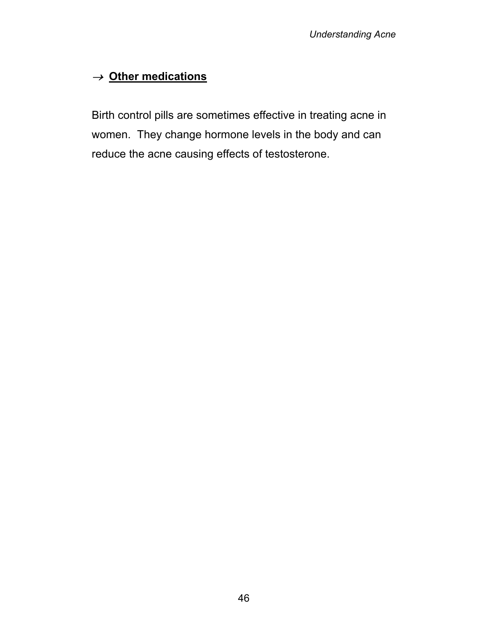# <sup>→</sup>**Other medications**

Birth control pills are sometimes effective in treating acne in women. They change hormone levels in the body and can reduce the acne causing effects of testosterone.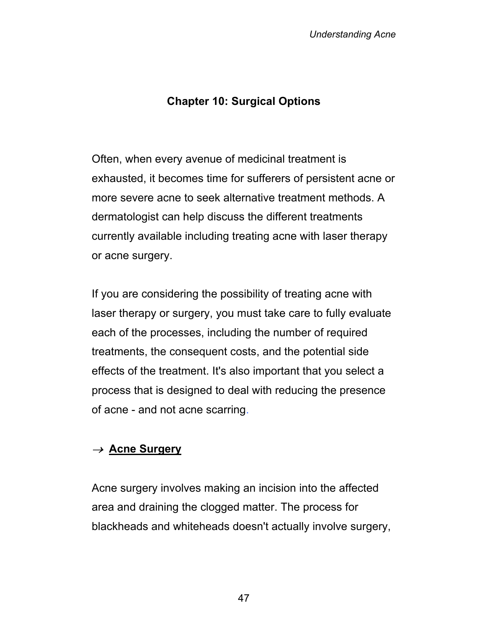# **Chapter 10: Surgical Options**

Often, when every avenue of medicinal treatment is exhausted, it becomes time for sufferers of persistent acne or more severe acne to seek alternative treatment methods. A dermatologist can help discuss the different treatments currently available including treating acne with laser therapy or acne surgery.

If you are considering the possibility of treating acne with laser therapy or surgery, you must take care to fully evaluate each of the processes, including the number of required treatments, the consequent costs, and the potential side effects of the treatment. It's also important that you select a process that is designed to deal with reducing the presence of acne - and not acne scarring.

### <sup>→</sup>**Acne Surgery**

Acne surgery involves making an incision into the affected area and draining the clogged matter. The process for blackheads and whiteheads doesn't actually involve surgery,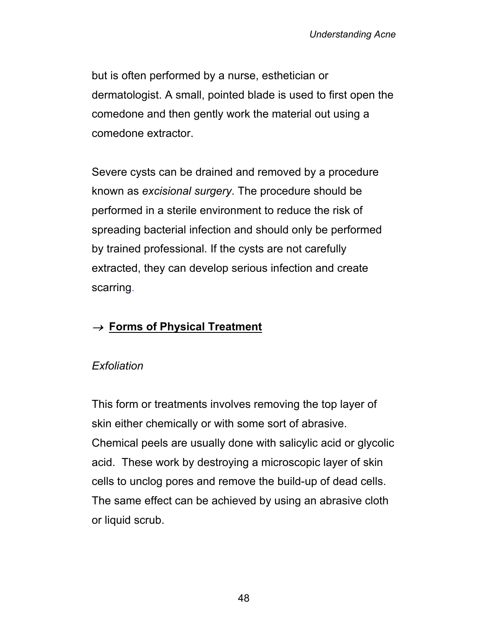but is often performed by a nurse, esthetician or dermatologist. A small, pointed blade is used to first open the comedone and then gently work the material out using a comedone extractor.

Severe cysts can be drained and removed by a procedure known as *excisional surgery*. The procedure should be performed in a sterile environment to reduce the risk of spreading bacterial infection and should only be performed by trained professional. If the cysts are not carefully extracted, they can develop serious infection and create scarring.

# <sup>→</sup>**Forms of Physical Treatment**

#### *Exfoliation*

This form or treatments involves removing the top layer of skin either chemically or with some sort of abrasive. Chemical peels are usually done with salicylic acid or glycolic acid. These work by destroying a microscopic layer of skin cells to unclog pores and remove the build-up of dead cells. The same effect can be achieved by using an abrasive cloth or liquid scrub.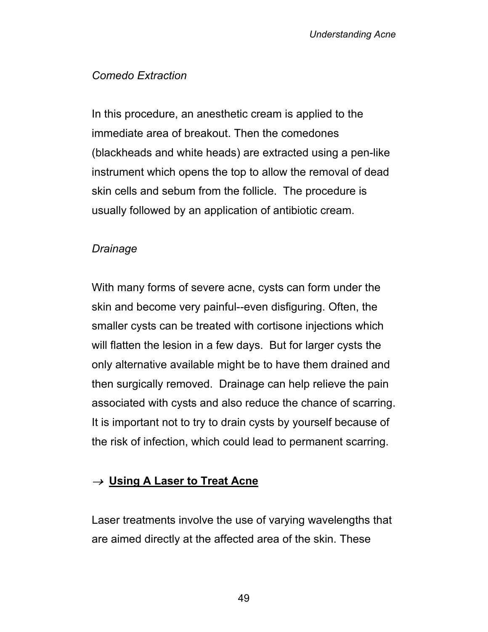### *Comedo Extraction*

In this procedure, an anesthetic cream is applied to the immediate area of breakout. Then the comedones (blackheads and white heads) are extracted using a pen-like instrument which opens the top to allow the removal of dead skin cells and sebum from the follicle. The procedure is usually followed by an application of antibiotic cream.

#### *Drainage*

With many forms of severe acne, cysts can form under the skin and become very painful--even disfiguring. Often, the smaller cysts can be treated with cortisone injections which will flatten the lesion in a few days. But for larger cysts the only alternative available might be to have them drained and then surgically removed. Drainage can help relieve the pain associated with cysts and also reduce the chance of scarring. It is important not to try to drain cysts by yourself because of the risk of infection, which could lead to permanent scarring.

### <sup>→</sup>**Using A Laser to Treat Acne**

Laser treatments involve the use of varying wavelengths that are aimed directly at the affected area of the skin. These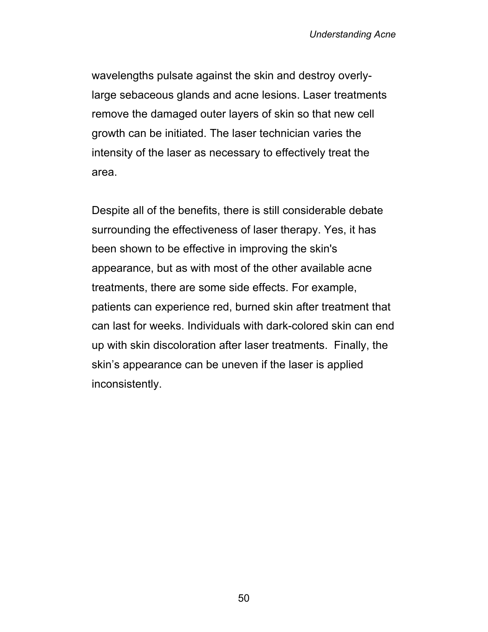wavelengths pulsate against the skin and destroy overlylarge sebaceous glands and acne lesions. Laser treatments remove the damaged outer layers of skin so that new cell growth can be initiated. The laser technician varies the intensity of the laser as necessary to effectively treat the area.

Despite all of the benefits, there is still considerable debate surrounding the effectiveness of laser therapy. Yes, it has been shown to be effective in improving the skin's appearance, but as with most of the other available acne treatments, there are some side effects. For example, patients can experience red, burned skin after treatment that can last for weeks. Individuals with dark-colored skin can end up with skin discoloration after laser treatments. Finally, the skin's appearance can be uneven if the laser is applied inconsistently.